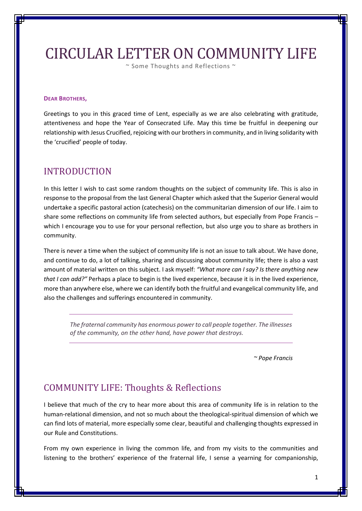# CIRCULAR LETTER ON COMMUNITY LIFE

~ Some Thoughts and Reflections ~

#### **DEAR BROTHERS,**

Greetings to you in this graced time of Lent, especially as we are also celebrating with gratitude, attentiveness and hope the Year of Consecrated Life. May this time be fruitful in deepening our relationship with Jesus Crucified, rejoicing with our brothers in community, and in living solidarity with the 'crucified' people of today.

### INTRODUCTION

In this letter I wish to cast some random thoughts on the subject of community life. This is also in response to the proposal from the last General Chapter which asked that the Superior General would undertake a specific pastoral action (catechesis) on the communitarian dimension of our life. I aim to share some reflections on community life from selected authors, but especially from Pope Francis which I encourage you to use for your personal reflection, but also urge you to share as brothers in community.

There is never a time when the subject of community life is not an issue to talk about. We have done, and continue to do, a lot of talking, sharing and discussing about community life; there is also a vast amount of material written on this subject. I ask myself: *"What more can I say? Is there anything new that I can add?"* Perhaps a place to begin is the lived experience, because it is in the lived experience, more than anywhere else, where we can identify both the fruitful and evangelical community life, and also the challenges and sufferings encountered in community.

*The fraternal community has enormous power to call people together. The illnesses of the community, on the other hand, have power that destroys.* 

*~ Pope Francis*

## COMMUNITY LIFE: Thoughts & Reflections

I believe that much of the cry to hear more about this area of community life is in relation to the human-relational dimension, and not so much about the theological-spiritual dimension of which we can find lots of material, more especially some clear, beautiful and challenging thoughts expressed in our Rule and Constitutions.

From my own experience in living the common life, and from my visits to the communities and listening to the brothers' experience of the fraternal life, I sense a yearning for companionship,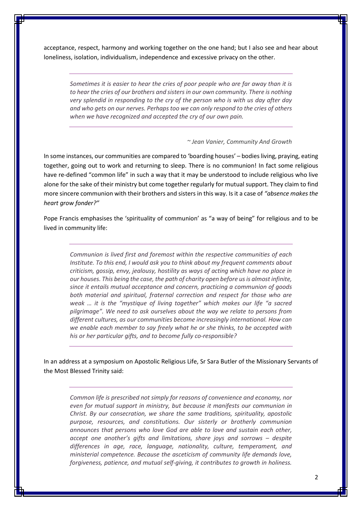acceptance, respect, harmony and working together on the one hand; but I also see and hear about loneliness, isolation, individualism, independence and excessive privacy on the other.

*Sometimes it is easier to hear the cries of poor people who are far away than it is to hear the cries of our brothers and sisters in our own community. There is nothing very splendid in responding to the cry of the person who is with us day after day and who gets on our nerves. Perhaps too we can only respond to the cries of others when we have recognized and accepted the cry of our own pain.*

#### *~ [Jean Vanier,](https://www.goodreads.com/author/show/123458.Jean_Vanier) [Community](https://www.goodreads.com/work/quotes/2512264) And Growth*

In some instances, our communities are compared to 'boarding houses' – bodies living, praying, eating together, going out to work and returning to sleep. There is no communion! In fact some religious have re-defined "common life" in such a way that it may be understood to include religious who live alone for the sake of their ministry but come together regularly for mutual support. They claim to find more sincere communion with their brothers and sisters in this way. Is it a case of *"absence makes the heart grow fonder?"*

Pope Francis emphasises the 'spirituality of communion' as "a way of being" for religious and to be lived in community life:

*Communion is lived first and foremost within the respective communities of each Institute. To this end, I would ask you to think about my frequent comments about criticism, gossip, envy, jealousy, hostility as ways of acting which have no place in our houses. This being the case, the path of charity open before us is almost infinite, since it entails mutual acceptance and concern, practicing a communion of goods both material and spiritual, fraternal correction and respect for those who are weak … it is the "mystique of living together" which makes our life "a sacred pilgrimage". We need to ask ourselves about the way we relate to persons from different cultures, as our communities become increasingly international. How can we enable each member to say freely what he or she thinks, to be accepted with his or her particular gifts, and to become fully co-responsible?*

In an address at a symposium on Apostolic Religious Life, Sr Sara Butler of the Missionary Servants of the Most Blessed Trinity said:

*Common life is prescribed not simply for reasons of convenience and economy, nor even for mutual support in ministry, but because it manifests our communion in Christ. By our consecration, we share the same traditions, spirituality, apostolic purpose, resources, and constitutions. Our sisterly or brotherly communion announces that persons who love God are able to love and sustain each other, accept one another's gifts and limitations, share joys and sorrows – despite differences in age, race, language, nationality, culture, temperament, and ministerial competence. Because the asceticism of community life demands love, forgiveness, patience, and mutual self-giving, it contributes to growth in holiness.*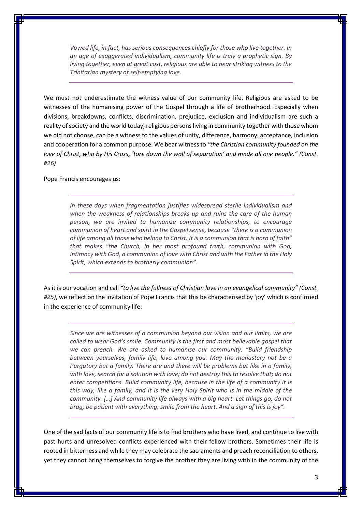*Vowed life, in fact, has serious consequences chiefly for those who live together. In an age of exaggerated individualism, community life is truly a prophetic sign. By living together, even at great cost, religious are able to bear striking witness to the Trinitarian mystery of self-emptying love.*

We must not underestimate the witness value of our community life. Religious are asked to be witnesses of the humanising power of the Gospel through a life of brotherhood. Especially when divisions, breakdowns, conflicts, discrimination, prejudice, exclusion and individualism are such a reality of society and the world today, religious persons living in community together with those whom we did not choose, can be a witness to the values of unity, difference, harmony, acceptance, inclusion and cooperation for a common purpose. We bear witness to *"the Christian community founded on the love of Christ, who by His Cross, 'tore down the wall of separation' and made all one people." (Const. #26)*

Pope Francis encourages us:

*In these days when fragmentation justifies widespread sterile individualism and when the weakness of relationships breaks up and ruins the care of the human person, we are invited to humanize community relationships, to encourage communion of heart and spirit in the Gospel sense, because "there is a communion of life among all those who belong to Christ. It is a communion that is born of faith" that makes "the Church, in her most profound truth, communion with God, intimacy with God, a communion of love with Christ and with the Father in the Holy Spirit, which extends to brotherly communion".*

As it is our vocation and call *"to live the fullness of Christian love in an evangelical community" (Const. #25)*, we reflect on the invitation of Pope Francis that this be characterised by 'joy' which is confirmed in the experience of community life:

*Since we are witnesses of a communion beyond our vision and our limits, we are called to wear God's smile. Community is the first and most believable gospel that we can preach. We are asked to humanise our community. "Build friendship between yourselves, family life, love among you. May the monastery not be a Purgatory but a family. There are and there will be problems but like in a family, with love, search for a solution with love; do not destroy this to resolve that; do not enter competitions. Build community life, because in the life of a community it is this way, like a family, and it is the very Holy Spirit who is in the middle of the community. […] And community life always with a big heart. Let things go, do not brag, be patient with everything, smile from the heart. And a sign of this is joy".*

One of the sad facts of our community life is to find brothers who have lived, and continue to live with past hurts and unresolved conflicts experienced with their fellow brothers. Sometimes their life is rooted in bitterness and while they may celebrate the sacraments and preach reconciliation to others, yet they cannot bring themselves to forgive the brother they are living with in the community of the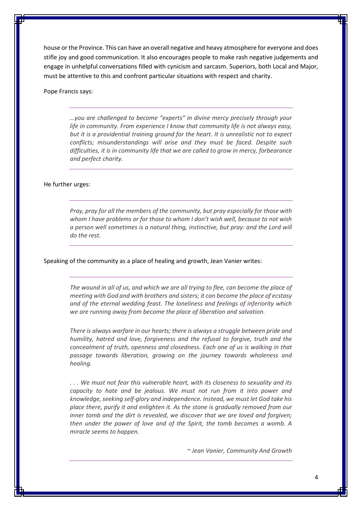house or the Province. This can have an overall negative and heavy atmosphere for everyone and does stifle joy and good communication. It also encourages people to make rash negative judgements and engage in unhelpful conversations filled with cynicism and sarcasm. Superiors, both Local and Major, must be attentive to this and confront particular situations with respect and charity.

#### Pope Francis says:

*…you are challenged to become "experts" in divine mercy precisely through your life in community. From experience I know that community life is not always easy, but it is a providential training ground for the heart. It is unrealistic not to expect conflicts; misunderstandings will arise and they must be faced. Despite such difficulties, it is in community life that we are called to grow in mercy, forbearance and perfect charity.*

#### He further urges:

*Pray, pray for all the members of the community, but pray especially for those with whom I have problems or for those to whom I don't wish well, because to not wish a person well sometimes is a natural thing, instinctive, but pray: and the Lord will do the rest.*

#### Speaking of the community as a place of healing and growth, Jean Vanier writes:

*The wound in all of us, and which we are all trying to flee, can become the place of meeting with God and with brothers and sisters; it can become the place of ecstasy and of the eternal wedding feast. The loneliness and feelings of inferiority which we are running away from become the place of liberation and salvation.*

*There is always warfare in our hearts; there is always a struggle between pride and humility, hatred and love, forgiveness and the refusal to forgive, truth and the concealment of truth, openness and closedness. Each one of us is walking in that passage towards liberation, growing on the journey towards wholeness and healing.*

*. . . We must not fear this vulnerable heart, with its closeness to sexuality and its capacity to hate and be jealous. We must not run from it into power and knowledge, seeking self-glory and independence. Instead, we must let God take his place there, purify it and enlighten it. As the stone is gradually removed from our inner tomb and the dirt is revealed, we discover that we are loved and foraiven: then under the power of love and of the Spirit, the tomb becomes a womb. A miracle seems to happen.*

*~ [Jean Vanier,](https://www.goodreads.com/author/show/123458.Jean_Vanier) [Community And Growth](https://www.goodreads.com/work/quotes/2512264)*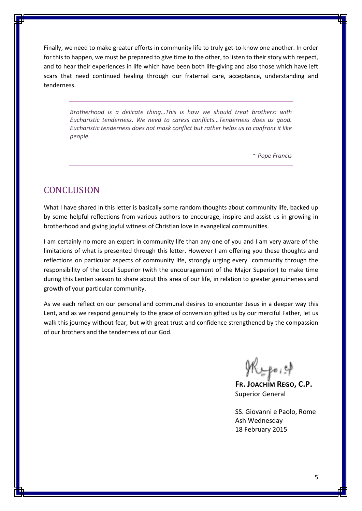Finally, we need to make greater efforts in community life to truly get-to-know one another. In order for this to happen, we must be prepared to give time to the other, to listen to their story with respect, and to hear their experiences in life which have been both life-giving and also those which have left scars that need continued healing through our fraternal care, acceptance, understanding and tenderness.

*Brotherhood is a delicate thing…This is how we should treat brothers: with Eucharistic tenderness. We need to caress conflicts…Tenderness does us good. Eucharistic tenderness does not mask conflict but rather helps us to confront it like people.*

*~ Pope Francis*

## **CONCLUSION**

What I have shared in this letter is basically some random thoughts about community life, backed up by some helpful reflections from various authors to encourage, inspire and assist us in growing in brotherhood and giving joyful witness of Christian love in evangelical communities.

I am certainly no more an expert in community life than any one of you and I am very aware of the limitations of what is presented through this letter. However I am offering you these thoughts and reflections on particular aspects of community life, strongly urging every community through the responsibility of the Local Superior (with the encouragement of the Major Superior) to make time during this Lenten season to share about this area of our life, in relation to greater genuineness and growth of your particular community.

As we each reflect on our personal and communal desires to encounter Jesus in a deeper way this Lent, and as we respond genuinely to the grace of conversion gifted us by our merciful Father, let us walk this journey without fear, but with great trust and confidence strengthened by the compassion of our brothers and the tenderness of our God.

Mypo, 4

**FR. JOACHIM REGO, C.P.** Superior General

SS. Giovanni e Paolo, Rome Ash Wednesday 18 February 2015